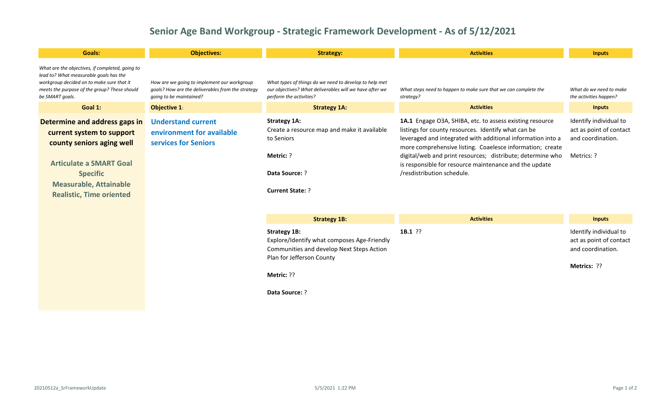## **Senior Age Band Workgroup - Strategic Framework Development - As of 5/12/2021**

| Goals:                                                                                                                                                                                                           | <b>Objectives:</b>                                                                                                          | <b>Strategy:</b>                                                                                                                             | <b>Activities</b>                                                                                                                                                                                                                                                                                                                                                                                 | <b>Inputs</b>                                                                        |
|------------------------------------------------------------------------------------------------------------------------------------------------------------------------------------------------------------------|-----------------------------------------------------------------------------------------------------------------------------|----------------------------------------------------------------------------------------------------------------------------------------------|---------------------------------------------------------------------------------------------------------------------------------------------------------------------------------------------------------------------------------------------------------------------------------------------------------------------------------------------------------------------------------------------------|--------------------------------------------------------------------------------------|
| What are the objectives, if completed, going to<br>lead to? What measurable goals has the<br>workgroup decided on to make sure that it<br>meets the purpose of the group? These should<br>be SMART goals.        | How are we going to implement our workgroup<br>goals? How are the deliverables from the strategy<br>going to be maintained? | What types of things do we need to develop to help met<br>our objectives? What deliverables will we have after we<br>perform the activities? | What steps need to happen to make sure that we can complete the<br>strategy?                                                                                                                                                                                                                                                                                                                      | What do we need to make<br>the activities happen?                                    |
| Goal 1:                                                                                                                                                                                                          | <b>Objective 1:</b>                                                                                                         | <b>Strategy 1A:</b>                                                                                                                          | <b>Activities</b>                                                                                                                                                                                                                                                                                                                                                                                 | <b>Inputs</b>                                                                        |
| Determine and address gaps in<br>current system to support<br>county seniors aging well<br><b>Articulate a SMART Goal</b><br><b>Specific</b><br><b>Measurable, Attainable</b><br><b>Realistic, Time oriented</b> | <b>Understand current</b><br>environment for available<br>services for Seniors                                              | <b>Strategy 1A:</b><br>Create a resource map and make it available<br>to Seniors<br>Metric: ?<br>Data Source: ?<br><b>Current State: ?</b>   | 1A.1 Engage O3A, SHIBA, etc. to assess existing resource<br>listings for county resources. Identify what can be<br>leveraged and integrated with additional information into a<br>more comprehensive listing. Coaelesce information; create<br>digital/web and print resources; distribute; determine who<br>is responsible for resource maintenance and the update<br>/resdistribution schedule. | Identify individual to<br>act as point of contact<br>and coordination.<br>Metrics: ? |
|                                                                                                                                                                                                                  |                                                                                                                             | <b>Strategy 1B:</b>                                                                                                                          | <b>Activities</b>                                                                                                                                                                                                                                                                                                                                                                                 | <b>Inputs</b>                                                                        |
|                                                                                                                                                                                                                  |                                                                                                                             | <b>Strategy 1B:</b><br>Explore/Identify what composes Age-Friendly<br>Communities and develop Next Steps Action<br>Plan for Jefferson County | $1B.1$ ??                                                                                                                                                                                                                                                                                                                                                                                         | Identify individual to<br>act as point of contact<br>and coordination.               |
|                                                                                                                                                                                                                  |                                                                                                                             | Metric: ??                                                                                                                                   |                                                                                                                                                                                                                                                                                                                                                                                                   | Metrics: ??                                                                          |
|                                                                                                                                                                                                                  |                                                                                                                             | <b>Data Source: ?</b>                                                                                                                        |                                                                                                                                                                                                                                                                                                                                                                                                   |                                                                                      |